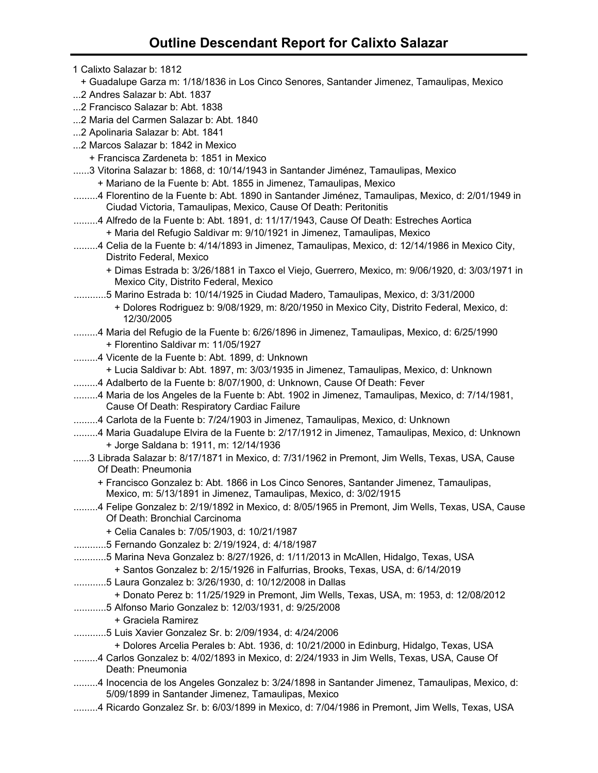| 1 Calixto Salazar b: 1812                                                                                                                                            |
|----------------------------------------------------------------------------------------------------------------------------------------------------------------------|
| + Guadalupe Garza m: 1/18/1836 in Los Cinco Senores, Santander Jimenez, Tamaulipas, Mexico                                                                           |
| 2 Andres Salazar b: Abt. 1837                                                                                                                                        |
| 2 Francisco Salazar b: Abt. 1838                                                                                                                                     |
| 2 Maria del Carmen Salazar b: Abt. 1840                                                                                                                              |
| 2 Apolinaria Salazar b: Abt. 1841                                                                                                                                    |
| 2 Marcos Salazar b: 1842 in Mexico                                                                                                                                   |
| + Francisca Zardeneta b: 1851 in Mexico                                                                                                                              |
| 3 Vitorina Salazar b: 1868, d: 10/14/1943 in Santander Jiménez, Tamaulipas, Mexico                                                                                   |
| + Mariano de la Fuente b: Abt. 1855 in Jimenez, Tamaulipas, Mexico                                                                                                   |
| 4 Florentino de la Fuente b: Abt. 1890 in Santander Jiménez, Tamaulipas, Mexico, d: 2/01/1949 in<br>Ciudad Victoria, Tamaulipas, Mexico, Cause Of Death: Peritonitis |
| 4 Alfredo de la Fuente b: Abt. 1891, d: 11/17/1943, Cause Of Death: Estreches Aortica                                                                                |
| + Maria del Refugio Saldivar m: 9/10/1921 in Jimenez, Tamaulipas, Mexico                                                                                             |
| 4 Celia de la Fuente b: 4/14/1893 in Jimenez, Tamaulipas, Mexico, d: 12/14/1986 in Mexico City,<br>Distrito Federal, Mexico                                          |
| + Dimas Estrada b: 3/26/1881 in Taxco el Viejo, Guerrero, Mexico, m: 9/06/1920, d: 3/03/1971 in<br>Mexico City, Distrito Federal, Mexico                             |
| 5 Marino Estrada b: 10/14/1925 in Ciudad Madero, Tamaulipas, Mexico, d: 3/31/2000                                                                                    |
| + Dolores Rodriguez b: 9/08/1929, m: 8/20/1950 in Mexico City, Distrito Federal, Mexico, d:<br>12/30/2005                                                            |
| 4 Maria del Refugio de la Fuente b: 6/26/1896 in Jimenez, Tamaulipas, Mexico, d: 6/25/1990                                                                           |
| + Florentino Saldivar m: 11/05/1927                                                                                                                                  |
| 4 Vicente de la Fuente b: Abt. 1899, d: Unknown                                                                                                                      |
| + Lucia Saldivar b: Abt. 1897, m: 3/03/1935 in Jimenez, Tamaulipas, Mexico, d: Unknown                                                                               |
| 4 Adalberto de la Fuente b: 8/07/1900, d: Unknown, Cause Of Death: Fever                                                                                             |
| 4 Maria de los Angeles de la Fuente b: Abt. 1902 in Jimenez, Tamaulipas, Mexico, d: 7/14/1981,<br>Cause Of Death: Respiratory Cardiac Failure                        |
| 4 Carlota de la Fuente b: 7/24/1903 in Jimenez, Tamaulipas, Mexico, d: Unknown                                                                                       |
| 4 Maria Guadalupe Elvira de la Fuente b: 2/17/1912 in Jimenez, Tamaulipas, Mexico, d: Unknown                                                                        |
| + Jorge Saldana b: 1911, m: 12/14/1936                                                                                                                               |
| 3 Librada Salazar b: 8/17/1871 in Mexico, d: 7/31/1962 in Premont, Jim Wells, Texas, USA, Cause<br>Of Death: Pneumonia                                               |
| + Francisco Gonzalez b: Abt. 1866 in Los Cinco Senores, Santander Jimenez, Tamaulipas,<br>Mexico, m: 5/13/1891 in Jimenez, Tamaulipas, Mexico, d: 3/02/1915          |
| 4 Felipe Gonzalez b: 2/19/1892 in Mexico, d: 8/05/1965 in Premont, Jim Wells, Texas, USA, Cause<br>Of Death: Bronchial Carcinoma                                     |
| + Celia Canales b: 7/05/1903, d: 10/21/1987                                                                                                                          |
| 5 Fernando Gonzalez b: 2/19/1924, d: 4/18/1987                                                                                                                       |
| 5 Marina Neva Gonzalez b: 8/27/1926, d: 1/11/2013 in McAllen, Hidalgo, Texas, USA                                                                                    |
| + Santos Gonzalez b: 2/15/1926 in Falfurrias, Brooks, Texas, USA, d: 6/14/2019                                                                                       |
| 5 Laura Gonzalez b: 3/26/1930, d: 10/12/2008 in Dallas                                                                                                               |
| + Donato Perez b: 11/25/1929 in Premont, Jim Wells, Texas, USA, m: 1953, d: 12/08/2012                                                                               |
| 5 Alfonso Mario Gonzalez b: 12/03/1931, d: 9/25/2008                                                                                                                 |
| + Graciela Ramirez                                                                                                                                                   |
| 5 Luis Xavier Gonzalez Sr. b: 2/09/1934, d: 4/24/2006                                                                                                                |
| + Dolores Arcelia Perales b: Abt. 1936, d: 10/21/2000 in Edinburg, Hidalgo, Texas, USA                                                                               |
| 4 Carlos Gonzalez b: 4/02/1893 in Mexico, d: 2/24/1933 in Jim Wells, Texas, USA, Cause Of<br>Death: Pneumonia                                                        |
| 4 Inocencia de los Angeles Gonzalez b: 3/24/1898 in Santander Jimenez, Tamaulipas, Mexico, d:<br>5/09/1899 in Santander Jimenez, Tamaulipas, Mexico                  |
| 4 Ricardo Gonzalez Sr. b: 6/03/1899 in Mexico, d: 7/04/1986 in Premont, Jim Wells, Texas, USA                                                                        |
|                                                                                                                                                                      |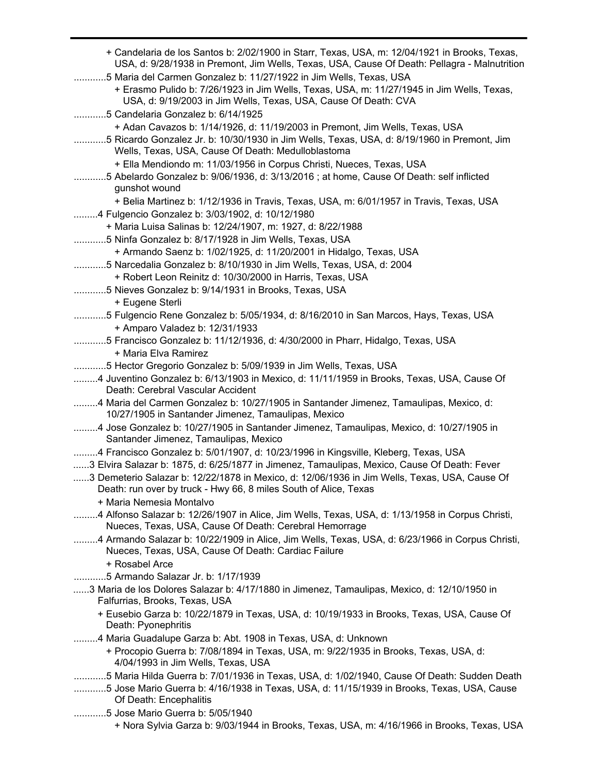| + Candelaria de los Santos b: 2/02/1900 in Starr, Texas, USA, m: 12/04/1921 in Brooks, Texas,<br>USA, d: 9/28/1938 in Premont, Jim Wells, Texas, USA, Cause Of Death: Pellagra - Malnutrition |
|-----------------------------------------------------------------------------------------------------------------------------------------------------------------------------------------------|
| 5 Maria del Carmen Gonzalez b: 11/27/1922 in Jim Wells, Texas, USA                                                                                                                            |
| + Erasmo Pulido b: 7/26/1923 in Jim Wells, Texas, USA, m: 11/27/1945 in Jim Wells, Texas,<br>USA, d: 9/19/2003 in Jim Wells, Texas, USA, Cause Of Death: CVA                                  |
| 5 Candelaria Gonzalez b: 6/14/1925                                                                                                                                                            |
| + Adan Cavazos b: 1/14/1926, d: 11/19/2003 in Premont, Jim Wells, Texas, USA                                                                                                                  |
| 5 Ricardo Gonzalez Jr. b: 10/30/1930 in Jim Wells, Texas, USA, d: 8/19/1960 in Premont, Jim<br>Wells, Texas, USA, Cause Of Death: Medulloblastoma                                             |
| + Ella Mendiondo m: 11/03/1956 in Corpus Christi, Nueces, Texas, USA                                                                                                                          |
| 5 Abelardo Gonzalez b: 9/06/1936, d: 3/13/2016 ; at home, Cause Of Death: self inflicted<br>gunshot wound                                                                                     |
| + Belia Martinez b: 1/12/1936 in Travis, Texas, USA, m: 6/01/1957 in Travis, Texas, USA                                                                                                       |
| 4 Fulgencio Gonzalez b: 3/03/1902, d: 10/12/1980                                                                                                                                              |
| + Maria Luisa Salinas b: 12/24/1907, m: 1927, d: 8/22/1988                                                                                                                                    |
| 5 Ninfa Gonzalez b: 8/17/1928 in Jim Wells, Texas, USA                                                                                                                                        |
| + Armando Saenz b: 1/02/1925, d: 11/20/2001 in Hidalgo, Texas, USA<br>5 Narcedalia Gonzalez b: 8/10/1930 in Jim Wells, Texas, USA, d: 2004                                                    |
| + Robert Leon Reinitz d: 10/30/2000 in Harris, Texas, USA                                                                                                                                     |
| 5 Nieves Gonzalez b: 9/14/1931 in Brooks, Texas, USA                                                                                                                                          |
| + Eugene Sterli                                                                                                                                                                               |
| 5 Fulgencio Rene Gonzalez b: 5/05/1934, d: 8/16/2010 in San Marcos, Hays, Texas, USA                                                                                                          |
| + Amparo Valadez b: 12/31/1933                                                                                                                                                                |
| 5 Francisco Gonzalez b: 11/12/1936, d: 4/30/2000 in Pharr, Hidalgo, Texas, USA<br>+ Maria Elva Ramirez                                                                                        |
| 5 Hector Gregorio Gonzalez b: 5/09/1939 in Jim Wells, Texas, USA                                                                                                                              |
| 4 Juventino Gonzalez b: 6/13/1903 in Mexico, d: 11/11/1959 in Brooks, Texas, USA, Cause Of<br>Death: Cerebral Vascular Accident                                                               |
| 4 Maria del Carmen Gonzalez b: 10/27/1905 in Santander Jimenez, Tamaulipas, Mexico, d:<br>10/27/1905 in Santander Jimenez, Tamaulipas, Mexico                                                 |
| 4 Jose Gonzalez b: 10/27/1905 in Santander Jimenez, Tamaulipas, Mexico, d: 10/27/1905 in<br>Santander Jimenez, Tamaulipas, Mexico                                                             |
| 4 Francisco Gonzalez b: 5/01/1907, d: 10/23/1996 in Kingsville, Kleberg, Texas, USA                                                                                                           |
| 3 Elvira Salazar b: 1875, d: 6/25/1877 in Jimenez, Tamaulipas, Mexico, Cause Of Death: Fever                                                                                                  |
| 3 Demeterio Salazar b: 12/22/1878 in Mexico, d: 12/06/1936 in Jim Wells, Texas, USA, Cause Of                                                                                                 |
| Death: run over by truck - Hwy 66, 8 miles South of Alice, Texas                                                                                                                              |
| + Maria Nemesia Montalvo                                                                                                                                                                      |
| 4 Alfonso Salazar b: 12/26/1907 in Alice, Jim Wells, Texas, USA, d: 1/13/1958 in Corpus Christi,<br>Nueces, Texas, USA, Cause Of Death: Cerebral Hemorrage                                    |
| 4 Armando Salazar b: 10/22/1909 in Alice, Jim Wells, Texas, USA, d: 6/23/1966 in Corpus Christi,<br>Nueces, Texas, USA, Cause Of Death: Cardiac Failure                                       |
| + Rosabel Arce                                                                                                                                                                                |
| 5 Armando Salazar Jr. b: 1/17/1939                                                                                                                                                            |
| 3 Maria de los Dolores Salazar b: 4/17/1880 in Jimenez, Tamaulipas, Mexico, d: 12/10/1950 in<br>Falfurrias, Brooks, Texas, USA                                                                |
| + Eusebio Garza b: 10/22/1879 in Texas, USA, d: 10/19/1933 in Brooks, Texas, USA, Cause Of<br>Death: Pyonephritis                                                                             |
| 4 Maria Guadalupe Garza b: Abt. 1908 in Texas, USA, d: Unknown                                                                                                                                |
| + Procopio Guerra b: 7/08/1894 in Texas, USA, m: 9/22/1935 in Brooks, Texas, USA, d:<br>4/04/1993 in Jim Wells, Texas, USA                                                                    |
| 5 Maria Hilda Guerra b: 7/01/1936 in Texas, USA, d: 1/02/1940, Cause Of Death: Sudden Death                                                                                                   |
| 5 Jose Mario Guerra b: 4/16/1938 in Texas, USA, d: 11/15/1939 in Brooks, Texas, USA, Cause<br>Of Death: Encephalitis                                                                          |
| 5 Jose Mario Guerra b: 5/05/1940<br>+ Nora Sylvia Garza b: 9/03/1944 in Brooks, Texas, USA, m: 4/16/1966 in Brooks, Texas, USA                                                                |
|                                                                                                                                                                                               |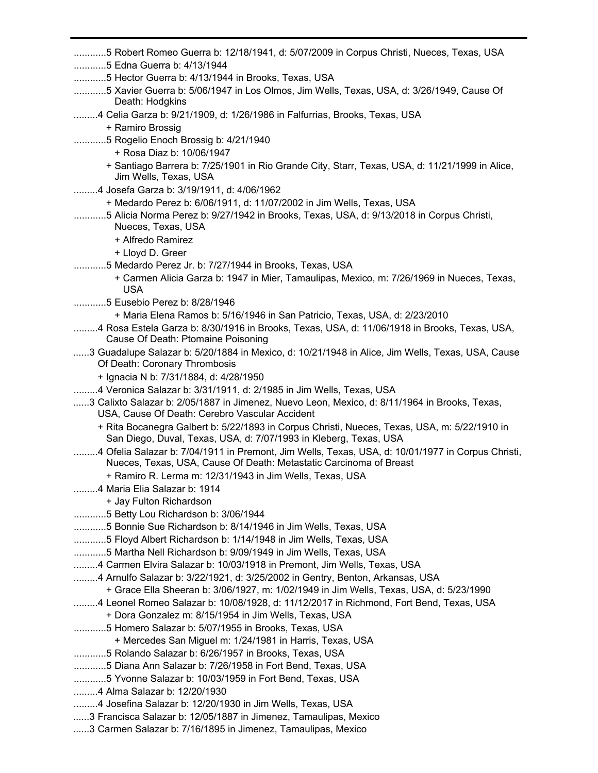- ............5 Robert Romeo Guerra b: 12/18/1941, d: 5/07/2009 in Corpus Christi, Nueces, Texas, USA
- ............5 Edna Guerra b: 4/13/1944
- ............5 Hector Guerra b: 4/13/1944 in Brooks, Texas, USA
- ............5 Xavier Guerra b: 5/06/1947 in Los Olmos, Jim Wells, Texas, USA, d: 3/26/1949, Cause Of Death: Hodgkins
- .........4 Celia Garza b: 9/21/1909, d: 1/26/1986 in Falfurrias, Brooks, Texas, USA
	- + Ramiro Brossig
- ............5 Rogelio Enoch Brossig b: 4/21/1940
	- + Rosa Diaz b: 10/06/1947
	- + Santiago Barrera b: 7/25/1901 in Rio Grande City, Starr, Texas, USA, d: 11/21/1999 in Alice, Jim Wells, Texas, USA
- .........4 Josefa Garza b: 3/19/1911, d: 4/06/1962
	- + Medardo Perez b: 6/06/1911, d: 11/07/2002 in Jim Wells, Texas, USA
- ............5 Alicia Norma Perez b: 9/27/1942 in Brooks, Texas, USA, d: 9/13/2018 in Corpus Christi, Nueces, Texas, USA
	- + Alfredo Ramirez
	- + Lloyd D. Greer
- ............5 Medardo Perez Jr. b: 7/27/1944 in Brooks, Texas, USA
	- + Carmen Alicia Garza b: 1947 in Mier, Tamaulipas, Mexico, m: 7/26/1969 in Nueces, Texas, USA
- ............5 Eusebio Perez b: 8/28/1946
	- + Maria Elena Ramos b: 5/16/1946 in San Patricio, Texas, USA, d: 2/23/2010
- .........4 Rosa Estela Garza b: 8/30/1916 in Brooks, Texas, USA, d: 11/06/1918 in Brooks, Texas, USA, Cause Of Death: Ptomaine Poisoning
- ......3 Guadalupe Salazar b: 5/20/1884 in Mexico, d: 10/21/1948 in Alice, Jim Wells, Texas, USA, Cause Of Death: Coronary Thrombosis
	- + Ignacia N b: 7/31/1884, d: 4/28/1950
- .........4 Veronica Salazar b: 3/31/1911, d: 2/1985 in Jim Wells, Texas, USA
- ......3 Calixto Salazar b: 2/05/1887 in Jimenez, Nuevo Leon, Mexico, d: 8/11/1964 in Brooks, Texas, USA, Cause Of Death: Cerebro Vascular Accident
	- + Rita Bocanegra Galbert b: 5/22/1893 in Corpus Christi, Nueces, Texas, USA, m: 5/22/1910 in San Diego, Duval, Texas, USA, d: 7/07/1993 in Kleberg, Texas, USA
- .........4 Ofelia Salazar b: 7/04/1911 in Premont, Jim Wells, Texas, USA, d: 10/01/1977 in Corpus Christi, Nueces, Texas, USA, Cause Of Death: Metastatic Carcinoma of Breast
	- + Ramiro R. Lerma m: 12/31/1943 in Jim Wells, Texas, USA
- .........4 Maria Elia Salazar b: 1914
	- + Jay Fulton Richardson
- ............5 Betty Lou Richardson b: 3/06/1944
- ............5 Bonnie Sue Richardson b: 8/14/1946 in Jim Wells, Texas, USA
- ............5 Floyd Albert Richardson b: 1/14/1948 in Jim Wells, Texas, USA
- ............5 Martha Nell Richardson b: 9/09/1949 in Jim Wells, Texas, USA
- .........4 Carmen Elvira Salazar b: 10/03/1918 in Premont, Jim Wells, Texas, USA
- .........4 Arnulfo Salazar b: 3/22/1921, d: 3/25/2002 in Gentry, Benton, Arkansas, USA
	- + Grace Ella Sheeran b: 3/06/1927, m: 1/02/1949 in Jim Wells, Texas, USA, d: 5/23/1990
- .........4 Leonel Romeo Salazar b: 10/08/1928, d: 11/12/2017 in Richmond, Fort Bend, Texas, USA
	- + Dora Gonzalez m: 8/15/1954 in Jim Wells, Texas, USA
- ............5 Homero Salazar b: 5/07/1955 in Brooks, Texas, USA
	- + Mercedes San Miguel m: 1/24/1981 in Harris, Texas, USA
- ............5 Rolando Salazar b: 6/26/1957 in Brooks, Texas, USA
- ............5 Diana Ann Salazar b: 7/26/1958 in Fort Bend, Texas, USA
- ............5 Yvonne Salazar b: 10/03/1959 in Fort Bend, Texas, USA
- .........4 Alma Salazar b: 12/20/1930
- .........4 Josefina Salazar b: 12/20/1930 in Jim Wells, Texas, USA
- ......3 Francisca Salazar b: 12/05/1887 in Jimenez, Tamaulipas, Mexico
- ......3 Carmen Salazar b: 7/16/1895 in Jimenez, Tamaulipas, Mexico